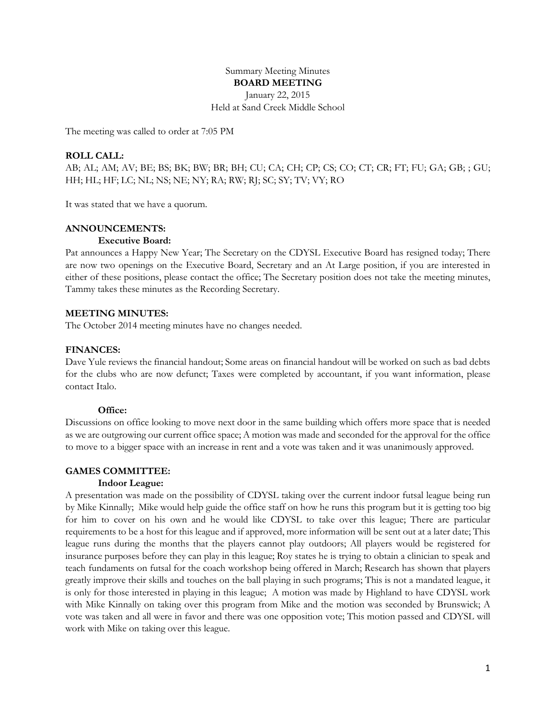Summary Meeting Minutes **BOARD MEETING** January 22, 2015 Held at Sand Creek Middle School

The meeting was called to order at 7:05 PM

## **ROLL CALL:**

AB; AL; AM; AV; BE; BS; BK; BW; BR; BH; CU; CA; CH; CP; CS; CO; CT; CR; FT; FU; GA; GB; ; GU; HH; HL; HF; LC; NL; NS; NE; NY; RA; RW; RJ; SC; SY; TV; VY; RO

It was stated that we have a quorum.

### **ANNOUNCEMENTS:**

#### **Executive Board:**

Pat announces a Happy New Year; The Secretary on the CDYSL Executive Board has resigned today; There are now two openings on the Executive Board, Secretary and an At Large position, if you are interested in either of these positions, please contact the office; The Secretary position does not take the meeting minutes, Tammy takes these minutes as the Recording Secretary.

#### **MEETING MINUTES:**

The October 2014 meeting minutes have no changes needed.

#### **FINANCES:**

Dave Yule reviews the financial handout; Some areas on financial handout will be worked on such as bad debts for the clubs who are now defunct; Taxes were completed by accountant, if you want information, please contact Italo.

#### **Office:**

Discussions on office looking to move next door in the same building which offers more space that is needed as we are outgrowing our current office space; A motion was made and seconded for the approval for the office to move to a bigger space with an increase in rent and a vote was taken and it was unanimously approved.

#### **GAMES COMMITTEE:**

### **Indoor League:**

A presentation was made on the possibility of CDYSL taking over the current indoor futsal league being run by Mike Kinnally; Mike would help guide the office staff on how he runs this program but it is getting too big for him to cover on his own and he would like CDYSL to take over this league; There are particular requirements to be a host for this league and if approved, more information will be sent out at a later date; This league runs during the months that the players cannot play outdoors; All players would be registered for insurance purposes before they can play in this league; Roy states he is trying to obtain a clinician to speak and teach fundaments on futsal for the coach workshop being offered in March; Research has shown that players greatly improve their skills and touches on the ball playing in such programs; This is not a mandated league, it is only for those interested in playing in this league; A motion was made by Highland to have CDYSL work with Mike Kinnally on taking over this program from Mike and the motion was seconded by Brunswick; A vote was taken and all were in favor and there was one opposition vote; This motion passed and CDYSL will work with Mike on taking over this league.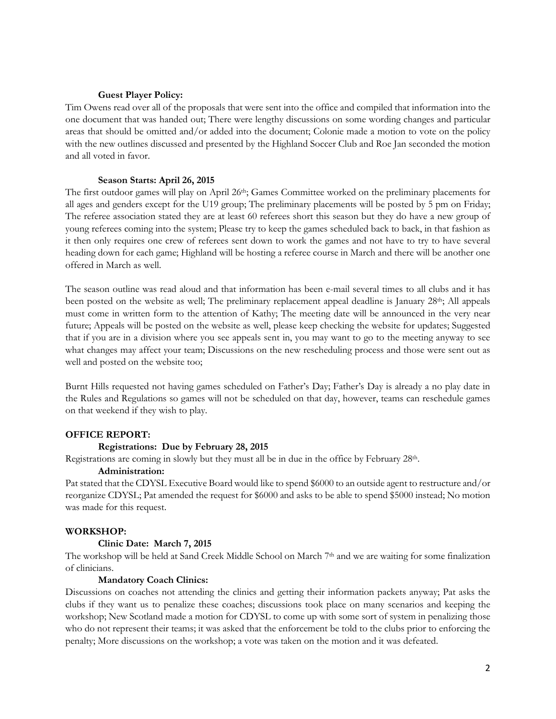### **Guest Player Policy:**

Tim Owens read over all of the proposals that were sent into the office and compiled that information into the one document that was handed out; There were lengthy discussions on some wording changes and particular areas that should be omitted and/or added into the document; Colonie made a motion to vote on the policy with the new outlines discussed and presented by the Highland Soccer Club and Roe Jan seconded the motion and all voted in favor.

### **Season Starts: April 26, 2015**

The first outdoor games will play on April 26<sup>th</sup>; Games Committee worked on the preliminary placements for all ages and genders except for the U19 group; The preliminary placements will be posted by 5 pm on Friday; The referee association stated they are at least 60 referees short this season but they do have a new group of young referees coming into the system; Please try to keep the games scheduled back to back, in that fashion as it then only requires one crew of referees sent down to work the games and not have to try to have several heading down for each game; Highland will be hosting a referee course in March and there will be another one offered in March as well.

The season outline was read aloud and that information has been e-mail several times to all clubs and it has been posted on the website as well; The preliminary replacement appeal deadline is January  $28<sup>th</sup>$ ; All appeals must come in written form to the attention of Kathy; The meeting date will be announced in the very near future; Appeals will be posted on the website as well, please keep checking the website for updates; Suggested that if you are in a division where you see appeals sent in, you may want to go to the meeting anyway to see what changes may affect your team; Discussions on the new rescheduling process and those were sent out as well and posted on the website too;

Burnt Hills requested not having games scheduled on Father's Day; Father's Day is already a no play date in the Rules and Regulations so games will not be scheduled on that day, however, teams can reschedule games on that weekend if they wish to play.

### **OFFICE REPORT:**

#### **Registrations: Due by February 28, 2015**

Registrations are coming in slowly but they must all be in due in the office by February 28th.

## **Administration:**

Pat stated that the CDYSL Executive Board would like to spend \$6000 to an outside agent to restructure and/or reorganize CDYSL; Pat amended the request for \$6000 and asks to be able to spend \$5000 instead; No motion was made for this request.

### **WORKSHOP:**

#### **Clinic Date: March 7, 2015**

The workshop will be held at Sand Creek Middle School on March 7<sup>th</sup> and we are waiting for some finalization of clinicians.

### **Mandatory Coach Clinics:**

Discussions on coaches not attending the clinics and getting their information packets anyway; Pat asks the clubs if they want us to penalize these coaches; discussions took place on many scenarios and keeping the workshop; New Scotland made a motion for CDYSL to come up with some sort of system in penalizing those who do not represent their teams; it was asked that the enforcement be told to the clubs prior to enforcing the penalty; More discussions on the workshop; a vote was taken on the motion and it was defeated.